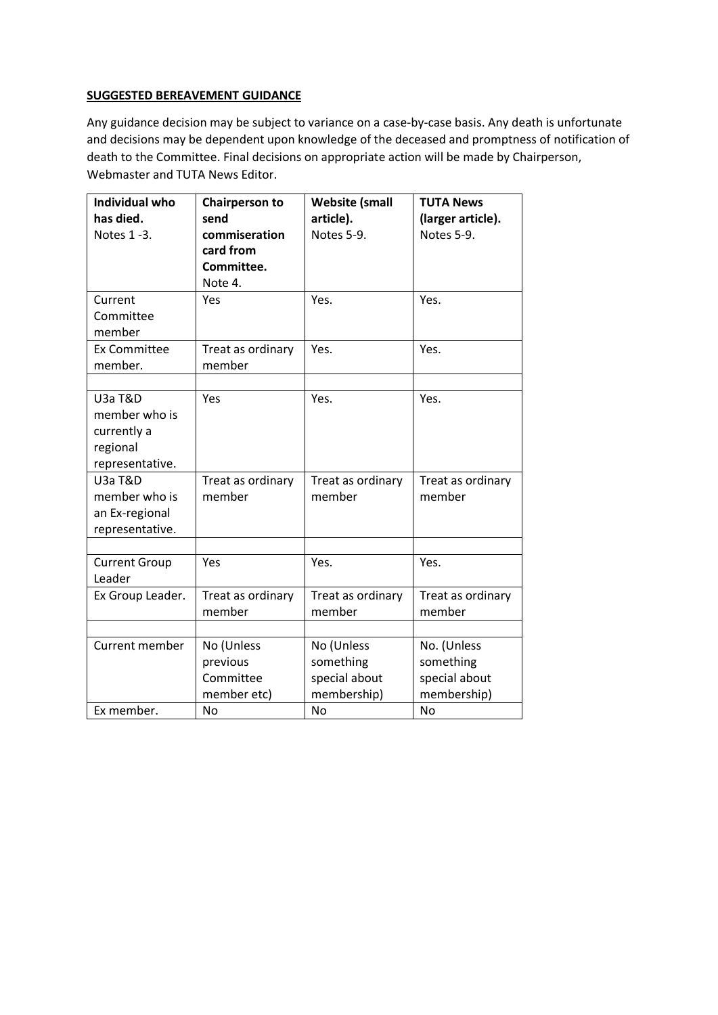## **SUGGESTED BEREAVEMENT GUIDANCE**

Any guidance decision may be subject to variance on a case-by-case basis. Any death is unfortunate and decisions may be dependent upon knowledge of the deceased and promptness of notification of death to the Committee. Final decisions on appropriate action will be made by Chairperson, Webmaster and TUTA News Editor.

| <b>Individual who</b><br>has died.<br>Notes 1-3.                           | <b>Chairperson to</b><br>send<br>commiseration<br>card from<br>Committee. | <b>Website (small</b><br>article).<br>Notes 5-9.                     | <b>TUTA News</b><br>(larger article).<br>Notes 5-9.            |
|----------------------------------------------------------------------------|---------------------------------------------------------------------------|----------------------------------------------------------------------|----------------------------------------------------------------|
| Current<br>Committee                                                       | Note 4.<br>Yes                                                            | Yes.                                                                 | Yes.                                                           |
| member                                                                     |                                                                           |                                                                      |                                                                |
| <b>Ex Committee</b><br>member.                                             | Treat as ordinary<br>member                                               | Yes.                                                                 | Yes.                                                           |
| U3a T&D<br>member who is<br>currently a<br>regional<br>representative.     | Yes                                                                       | Yes.                                                                 | Yes.                                                           |
| U <sub>3</sub> a T&D<br>member who is<br>an Ex-regional<br>representative. | Treat as ordinary<br>member                                               | Treat as ordinary<br>member                                          | Treat as ordinary<br>member                                    |
| <b>Current Group</b>                                                       | Yes                                                                       | Yes.                                                                 | Yes.                                                           |
| Leader<br>Ex Group Leader.                                                 | Treat as ordinary<br>member                                               | Treat as ordinary<br>member                                          | Treat as ordinary<br>member                                    |
| Current member<br>Ex member.                                               | No (Unless<br>previous<br>Committee<br>member etc)<br><b>No</b>           | No (Unless<br>something<br>special about<br>membership)<br><b>No</b> | No. (Unless<br>something<br>special about<br>membership)<br>No |